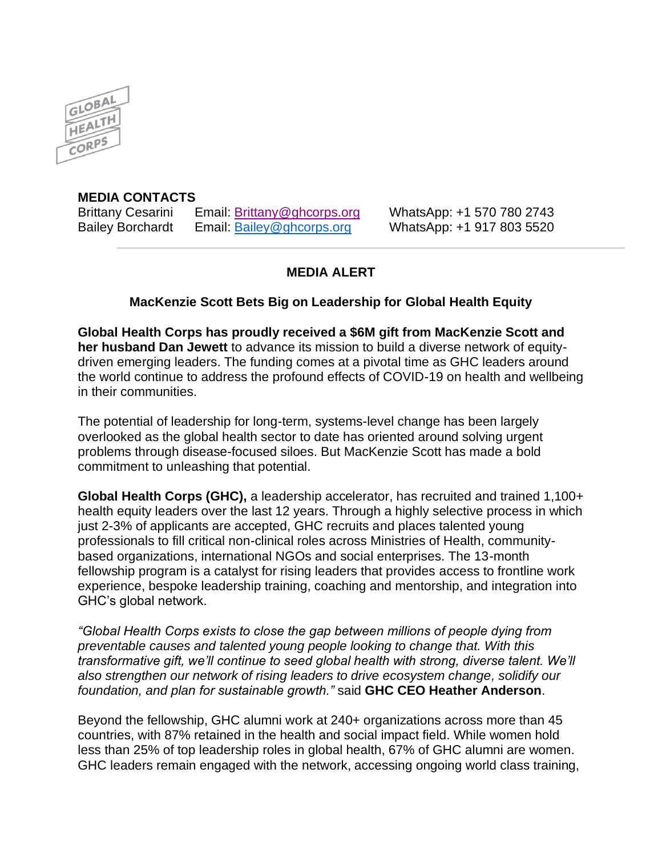

## **MEDIA CONTACTS**

Brittany Cesarini Email: Brittany@ghcorps.org WhatsApp: +1 570 780 2743 Bailey Borchardt Email: [Bailey@ghcorps.org](mailto:Bailey@ghcorps.org) WhatsApp: +1 917 803 5520

## **MEDIA ALERT**

## **MacKenzie Scott Bets Big on Leadership for Global Health Equity**

**Global Health Corps has proudly received a \$6M gift from MacKenzie Scott and her husband Dan Jewett** to advance its mission to build a diverse network of equitydriven emerging leaders. The funding comes at a pivotal time as GHC leaders around the world continue to address the profound effects of COVID-19 on health and wellbeing in their communities.

The potential of leadership for long-term, systems-level change has been largely overlooked as the global health sector to date has oriented around solving urgent problems through disease-focused siloes. But MacKenzie Scott has made a bold commitment to unleashing that potential.

**Global Health Corps (GHC),** a leadership accelerator, has recruited and trained 1,100+ health equity leaders over the last 12 years. Through a highly selective process in which just 2-3% of applicants are accepted, GHC recruits and places talented young professionals to fill critical non-clinical roles across Ministries of Health, communitybased organizations, international NGOs and social enterprises. The 13-month fellowship program is a catalyst for rising leaders that provides access to frontline work experience, bespoke leadership training, coaching and mentorship, and integration into GHC's global network.

*"Global Health Corps exists to close the gap between millions of people dying from preventable causes and talented young people looking to change that. With this transformative gift, we'll continue to seed global health with strong, diverse talent. We'll also strengthen our network of rising leaders to drive ecosystem change, solidify our foundation, and plan for sustainable growth."* said **GHC CEO Heather Anderson**.

Beyond the fellowship, GHC alumni work at 240+ organizations across more than 45 countries, with 87% retained in the health and social impact field. While women hold less than 25% of top leadership roles in global health, 67% of GHC alumni are women. GHC leaders remain engaged with the network, accessing ongoing world class training,